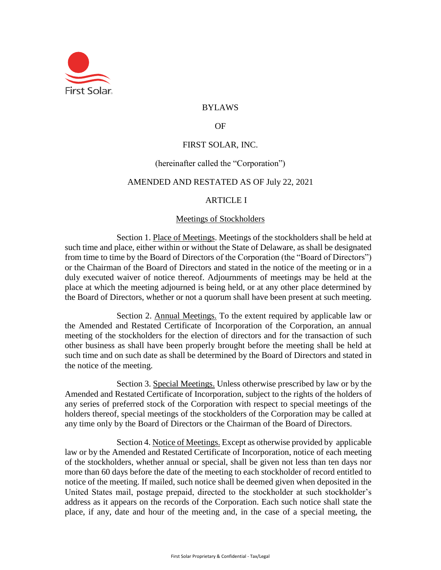

# BYLAWS

### OF

# FIRST SOLAR, INC.

## (hereinafter called the "Corporation")

### AMENDED AND RESTATED AS OF July 22, 2021

#### ARTICLE I

## Meetings of Stockholders

<span id="page-0-0"></span>Section 1. Place of Meetings. Meetings of the stockholders shall be held at such time and place, either within or without the State of Delaware, as shall be designated from time to time by the Board of Directors of the Corporation (the "Board of Directors") or the Chairman of the Board of Directors and stated in the notice of the meeting or in a duly executed waiver of notice thereof. Adjournments of meetings may be held at the place at which the meeting adjourned is being held, or at any other place determined by the Board of Directors, whether or not a quorum shall have been present at such meeting.

Section 2. Annual Meetings. To the extent required by applicable law or the Amended and Restated Certificate of Incorporation of the Corporation, an annual meeting of the stockholders for the election of directors and for the transaction of such other business as shall have been properly brought before the meeting shall be held at such time and on such date as shall be determined by the Board of Directors and stated in the notice of the meeting.

Section 3. Special Meetings. Unless otherwise prescribed by law or by the Amended and Restated Certificate of Incorporation, subject to the rights of the holders of any series of preferred stock of the Corporation with respect to special meetings of the holders thereof, special meetings of the stockholders of the Corporation may be called at any time only by the Board of Directors or the Chairman of the Board of Directors.

Section 4. Notice of Meetings. Except as otherwise provided by applicable law or by the Amended and Restated Certificate of Incorporation, notice of each meeting of the stockholders, whether annual or special, shall be given not less than ten days nor more than 60 days before the date of the meeting to each stockholder of record entitled to notice of the meeting. If mailed, such notice shall be deemed given when deposited in the United States mail, postage prepaid, directed to the stockholder at such stockholder's address as it appears on the records of the Corporation. Each such notice shall state the place, if any, date and hour of the meeting and, in the case of a special meeting, the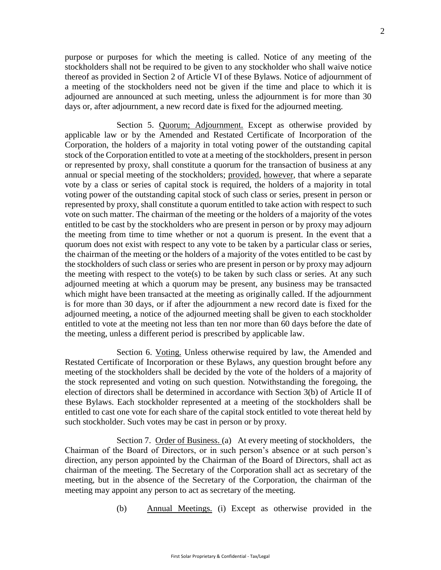purpose or purposes for which the meeting is called. Notice of any meeting of the stockholders shall not be required to be given to any stockholder who shall waive notice thereof as provided in Section [2 o](#page-17-0)f Article [VI o](#page-17-1)f these Bylaws. Notice of adjournment of a meeting of the stockholders need not be given if the time and place to which it is adjourned are announced at such meeting, unless the adjournment is for more than 30 days or, after adjournment, a new record date is fixed for the adjourned meeting.

Section 5. Quorum; Adjournment. Except as otherwise provided by applicable law or by the Amended and Restated Certificate of Incorporation of the Corporation, the holders of a majority in total voting power of the outstanding capital stock of the Corporation entitled to vote at a meeting of the stockholders, present in person or represented by proxy, shall constitute a quorum for the transaction of business at any annual or special meeting of the stockholders; provided, however, that where a separate vote by a class or series of capital stock is required, the holders of a majority in total voting power of the outstanding capital stock of such class or series, present in person or represented by proxy, shall constitute a quorum entitled to take action with respect to such vote on such matter. The chairman of the meeting or the holders of a majority of the votes entitled to be cast by the stockholders who are present in person or by proxy may adjourn the meeting from time to time whether or not a quorum is present. In the event that a quorum does not exist with respect to any vote to be taken by a particular class or series, the chairman of the meeting or the holders of a majority of the votes entitled to be cast by the stockholders of such class or series who are present in person or by proxy may adjourn the meeting with respect to the vote(s) to be taken by such class or series. At any such adjourned meeting at which a quorum may be present, any business may be transacted which might have been transacted at the meeting as originally called. If the adjournment is for more than 30 days, or if after the adjournment a new record date is fixed for the adjourned meeting, a notice of the adjourned meeting shall be given to each stockholder entitled to vote at the meeting not less than ten nor more than 60 days before the date of the meeting, unless a different period is prescribed by applicable law.

Section 6. Voting. Unless otherwise required by law, the Amended and Restated Certificate of Incorporation or these Bylaws, any question brought before any meeting of the stockholders shall be decided by the vote of the holders of a majority of the stock represented and voting on such question. Notwithstanding the foregoing, the election of directors shall be determined in accordance with Section [3\(](#page-8-0)b) of Article [II](#page-8-1) of these Bylaws. Each stockholder represented at a meeting of the stockholders shall be entitled to cast one vote for each share of the capital stock entitled to vote thereat held by such stockholder. Such votes may be cast in person or by proxy.

<span id="page-1-0"></span>Section 7. Order of Business. (a) At every meeting of stockholders, the Chairman of the Board of Directors, or in such person's absence or at such person's direction, any person appointed by the Chairman of the Board of Directors, shall act as chairman of the meeting. The Secretary of the Corporation shall act as secretary of the meeting, but in the absence of the Secretary of the Corporation, the chairman of the meeting may appoint any person to act as secretary of the meeting.

(b) Annual Meetings. (i) Except as otherwise provided in the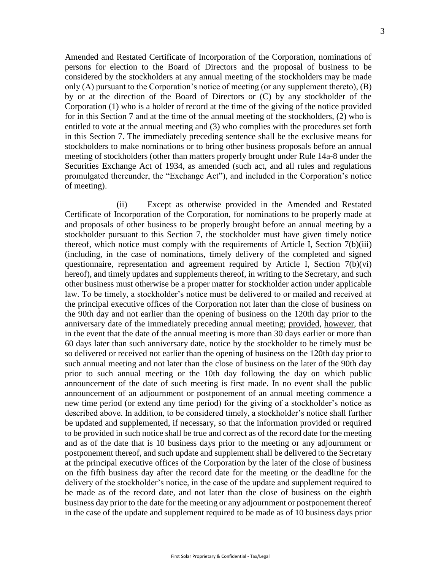Amended and Restated Certificate of Incorporation of the Corporation, nominations of persons for election to the Board of Directors and the proposal of business to be considered by the stockholders at any annual meeting of the stockholders may be made only (A) pursuant to the Corporation's notice of meeting (or any supplement thereto), (B) by or at the direction of the Board of Directors or (C) by any stockholder of the Corporation (1) who is a holder of record at the time of the giving of the notice provided for in this Section [7 a](#page-1-0)nd at the time of the annual meeting of the stockholders, (2) who is entitled to vote at the annual meeting and (3) who complies with the procedures set forth in this Section [7.](#page-1-0) The immediately preceding sentence shall be the exclusive means for stockholders to make nominations or to bring other business proposals before an annual meeting of stockholders (other than matters properly brought under Rule 14a-8 under the Securities Exchange Act of 1934, as amended (such act, and all rules and regulations promulgated thereunder, the "Exchange Act"), and included in the Corporation's notice of meeting).

(ii) Except as otherwise provided in the Amended and Restated Certificate of Incorporation of the Corporation, for nominations to be properly made at and proposals of other business to be properly brought before an annual meeting by a stockholder pursuant to this Section [7,](#page-1-0) the stockholder must have given timely notice thereof, which notice must comply with the requirements of Article I, Section [7\(](#page-1-0)b)(iii) (including, in the case of nominations, timely delivery of the completed and signed questionnaire, representation and agreement required by Article I, Section [7\(](#page-1-0)b)(vi) hereof), and timely updates and supplements thereof, in writing to the Secretary, and such other business must otherwise be a proper matter for stockholder action under applicable law. To be timely, a stockholder's notice must be delivered to or mailed and received at the principal executive offices of the Corporation not later than the close of business on the 90th day and not earlier than the opening of business on the 120th day prior to the anniversary date of the immediately preceding annual meeting; provided, however, that in the event that the date of the annual meeting is more than 30 days earlier or more than 60 days later than such anniversary date, notice by the stockholder to be timely must be so delivered or received not earlier than the opening of business on the 120th day prior to such annual meeting and not later than the close of business on the later of the 90th day prior to such annual meeting or the 10th day following the day on which public announcement of the date of such meeting is first made. In no event shall the public announcement of an adjournment or postponement of an annual meeting commence a new time period (or extend any time period) for the giving of a stockholder's notice as described above. In addition, to be considered timely, a stockholder's notice shall further be updated and supplemented, if necessary, so that the information provided or required to be provided in such notice shall be true and correct as of the record date for the meeting and as of the date that is 10 business days prior to the meeting or any adjournment or postponement thereof, and such update and supplement shall be delivered to the Secretary at the principal executive offices of the Corporation by the later of the close of business on the fifth business day after the record date for the meeting or the deadline for the delivery of the stockholder's notice, in the case of the update and supplement required to be made as of the record date, and not later than the close of business on the eighth business day prior to the date for the meeting or any adjournment or postponement thereof in the case of the update and supplement required to be made as of 10 business days prior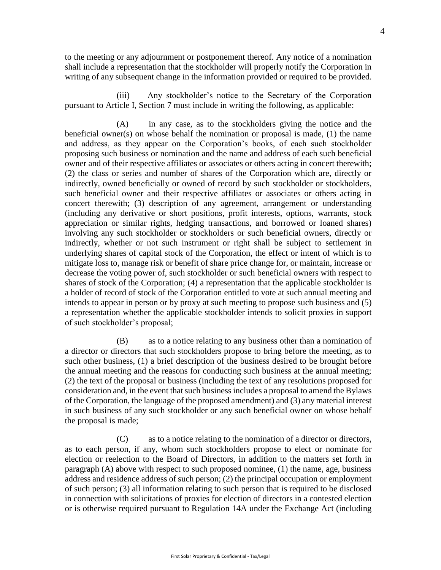to the meeting or any adjournment or postponement thereof. Any notice of a nomination shall include a representation that the stockholder will properly notify the Corporation in writing of any subsequent change in the information provided or required to be provided.

(iii) Any stockholder's notice to the Secretary of the Corporation pursuant to Article I, Section [7 m](#page-1-0)ust include in writing the following, as applicable:

(A) in any case, as to the stockholders giving the notice and the beneficial owner(s) on whose behalf the nomination or proposal is made, (1) the name and address, as they appear on the Corporation's books, of each such stockholder proposing such business or nomination and the name and address of each such beneficial owner and of their respective affiliates or associates or others acting in concert therewith; (2) the class or series and number of shares of the Corporation which are, directly or indirectly, owned beneficially or owned of record by such stockholder or stockholders, such beneficial owner and their respective affiliates or associates or others acting in concert therewith; (3) description of any agreement, arrangement or understanding (including any derivative or short positions, profit interests, options, warrants, stock appreciation or similar rights, hedging transactions, and borrowed or loaned shares) involving any such stockholder or stockholders or such beneficial owners, directly or indirectly, whether or not such instrument or right shall be subject to settlement in underlying shares of capital stock of the Corporation, the effect or intent of which is to mitigate loss to, manage risk or benefit of share price change for, or maintain, increase or decrease the voting power of, such stockholder or such beneficial owners with respect to shares of stock of the Corporation; (4) a representation that the applicable stockholder is a holder of record of stock of the Corporation entitled to vote at such annual meeting and intends to appear in person or by proxy at such meeting to propose such business and (5) a representation whether the applicable stockholder intends to solicit proxies in support of such stockholder's proposal;

(B) as to a notice relating to any business other than a nomination of a director or directors that such stockholders propose to bring before the meeting, as to such other business, (1) a brief description of the business desired to be brought before the annual meeting and the reasons for conducting such business at the annual meeting; (2) the text of the proposal or business (including the text of any resolutions proposed for consideration and, in the event that such business includes a proposal to amend the Bylaws of the Corporation, the language of the proposed amendment) and (3) any material interest in such business of any such stockholder or any such beneficial owner on whose behalf the proposal is made;

(C) as to a notice relating to the nomination of a director or directors, as to each person, if any, whom such stockholders propose to elect or nominate for election or reelection to the Board of Directors, in addition to the matters set forth in paragraph (A) above with respect to such proposed nominee, (1) the name, age, business address and residence address of such person; (2) the principal occupation or employment of such person; (3) all information relating to such person that is required to be disclosed in connection with solicitations of proxies for election of directors in a contested election or is otherwise required pursuant to Regulation 14A under the Exchange Act (including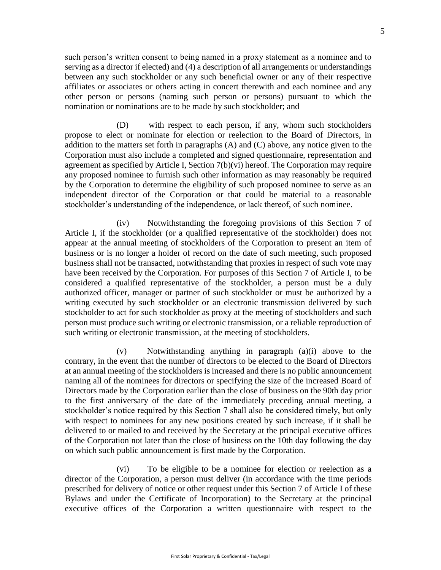such person's written consent to being named in a proxy statement as a nominee and to serving as a director if elected) and (4) a description of all arrangements or understandings between any such stockholder or any such beneficial owner or any of their respective affiliates or associates or others acting in concert therewith and each nominee and any other person or persons (naming such person or persons) pursuant to which the nomination or nominations are to be made by such stockholder; and

(D) with respect to each person, if any, whom such stockholders propose to elect or nominate for election or reelection to the Board of Directors, in addition to the matters set forth in paragraphs (A) and (C) above, any notice given to the Corporation must also include a completed and signed questionnaire, representation and agreement as specified by Article I, Section 7(b)(vi) hereof. The Corporation may require any proposed nominee to furnish such other information as may reasonably be required by the Corporation to determine the eligibility of such proposed nominee to serve as an independent director of the Corporation or that could be material to a reasonable stockholder's understanding of the independence, or lack thereof, of such nominee.

(iv) Notwithstanding the foregoing provisions of this Section 7 of Article I, if the stockholder (or a qualified representative of the stockholder) does not appear at the annual meeting of stockholders of the Corporation to present an item of business or is no longer a holder of record on the date of such meeting, such proposed business shall not be transacted, notwithstanding that proxies in respect of such vote may have been received by the Corporation. For purposes of this Section 7 of Article I, to be considered a qualified representative of the stockholder, a person must be a duly authorized officer, manager or partner of such stockholder or must be authorized by a writing executed by such stockholder or an electronic transmission delivered by such stockholder to act for such stockholder as proxy at the meeting of stockholders and such person must produce such writing or electronic transmission, or a reliable reproduction of such writing or electronic transmission, at the meeting of stockholders.

(v) Notwithstanding anything in paragraph (a)(i) above to the contrary, in the event that the number of directors to be elected to the Board of Directors at an annual meeting of the stockholders is increased and there is no public announcement naming all of the nominees for directors or specifying the size of the increased Board of Directors made by the Corporation earlier than the close of business on the 90th day prior to the first anniversary of the date of the immediately preceding annual meeting, a stockholder's notice required by this Section 7 shall also be considered timely, but only with respect to nominees for any new positions created by such increase, if it shall be delivered to or mailed to and received by the Secretary at the principal executive offices of the Corporation not later than the close of business on the 10th day following the day on which such public announcement is first made by the Corporation.

(vi) To be eligible to be a nominee for election or reelection as a director of the Corporation, a person must deliver (in accordance with the time periods prescribed for delivery of notice or other request under this Section 7 of Article I of these Bylaws and under the Certificate of Incorporation) to the Secretary at the principal executive offices of the Corporation a written questionnaire with respect to the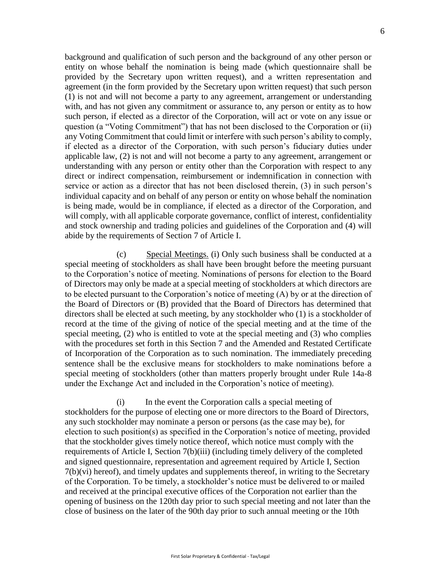background and qualification of such person and the background of any other person or entity on whose behalf the nomination is being made (which questionnaire shall be provided by the Secretary upon written request), and a written representation and agreement (in the form provided by the Secretary upon written request) that such person (1) is not and will not become a party to any agreement, arrangement or understanding with, and has not given any commitment or assurance to, any person or entity as to how such person, if elected as a director of the Corporation, will act or vote on any issue or question (a "Voting Commitment") that has not been disclosed to the Corporation or (ii) any Voting Commitment that could limit or interfere with such person's ability to comply, if elected as a director of the Corporation, with such person's fiduciary duties under applicable law, (2) is not and will not become a party to any agreement, arrangement or understanding with any person or entity other than the Corporation with respect to any direct or indirect compensation, reimbursement or indemnification in connection with service or action as a director that has not been disclosed therein, (3) in such person's individual capacity and on behalf of any person or entity on whose behalf the nomination is being made, would be in compliance, if elected as a director of the Corporation, and will comply, with all applicable corporate governance, conflict of interest, confidentiality and stock ownership and trading policies and guidelines of the Corporation and (4) will abide by the requirements of Section [7](#page-1-0) of Article [I.](#page-0-0)

(c) Special Meetings. (i) Only such business shall be conducted at a special meeting of stockholders as shall have been brought before the meeting pursuant to the Corporation's notice of meeting. Nominations of persons for election to the Board of Directors may only be made at a special meeting of stockholders at which directors are to be elected pursuant to the Corporation's notice of meeting (A) by or at the direction of the Board of Directors or (B) provided that the Board of Directors has determined that directors shall be elected at such meeting, by any stockholder who (1) is a stockholder of record at the time of the giving of notice of the special meeting and at the time of the special meeting, (2) who is entitled to vote at the special meeting and (3) who complies with the procedures set forth in this Section 7 and the Amended and Restated Certificate of Incorporation of the Corporation as to such nomination. The immediately preceding sentence shall be the exclusive means for stockholders to make nominations before a special meeting of stockholders (other than matters properly brought under Rule 14a-8 under the Exchange Act and included in the Corporation's notice of meeting).

(i) In the event the Corporation calls a special meeting of stockholders for the purpose of electing one or more directors to the Board of Directors, any such stockholder may nominate a person or persons (as the case may be), for election to such position(s) as specified in the Corporation's notice of meeting, provided that the stockholder gives timely notice thereof, which notice must comply with the requirements of Article I, Section 7(b)(iii) (including timely delivery of the completed and signed questionnaire, representation and agreement required by Article I, Section 7(b)(vi) hereof), and timely updates and supplements thereof, in writing to the Secretary of the Corporation. To be timely, a stockholder's notice must be delivered to or mailed and received at the principal executive offices of the Corporation not earlier than the opening of business on the 120th day prior to such special meeting and not later than the close of business on the later of the 90th day prior to such annual meeting or the 10th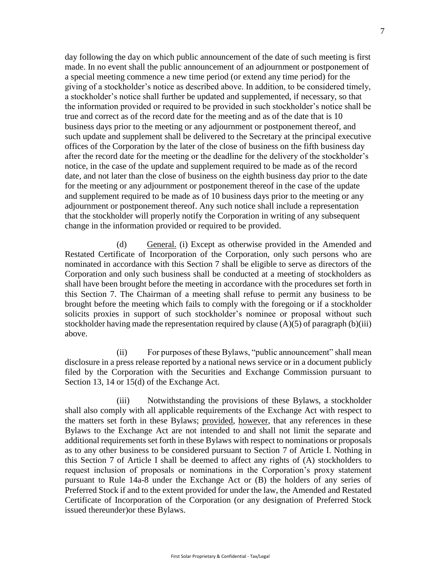day following the day on which public announcement of the date of such meeting is first made. In no event shall the public announcement of an adjournment or postponement of a special meeting commence a new time period (or extend any time period) for the giving of a stockholder's notice as described above. In addition, to be considered timely, a stockholder's notice shall further be updated and supplemented, if necessary, so that the information provided or required to be provided in such stockholder's notice shall be true and correct as of the record date for the meeting and as of the date that is 10 business days prior to the meeting or any adjournment or postponement thereof, and such update and supplement shall be delivered to the Secretary at the principal executive offices of the Corporation by the later of the close of business on the fifth business day after the record date for the meeting or the deadline for the delivery of the stockholder's notice, in the case of the update and supplement required to be made as of the record date, and not later than the close of business on the eighth business day prior to the date for the meeting or any adjournment or postponement thereof in the case of the update and supplement required to be made as of 10 business days prior to the meeting or any adjournment or postponement thereof. Any such notice shall include a representation that the stockholder will properly notify the Corporation in writing of any subsequent change in the information provided or required to be provided.

(d) General. (i) Except as otherwise provided in the Amended and Restated Certificate of Incorporation of the Corporation, only such persons who are nominated in accordance with this Section 7 shall be eligible to serve as directors of the Corporation and only such business shall be conducted at a meeting of stockholders as shall have been brought before the meeting in accordance with the procedures set forth in this Section 7. The Chairman of a meeting shall refuse to permit any business to be brought before the meeting which fails to comply with the foregoing or if a stockholder solicits proxies in support of such stockholder's nominee or proposal without such stockholder having made the representation required by clause  $(A)(5)$  of paragraph  $(b)(iii)$ above.

(ii) For purposes of these Bylaws, "public announcement" shall mean disclosure in a press release reported by a national news service or in a document publicly filed by the Corporation with the Securities and Exchange Commission pursuant to Section 13, 14 or 15(d) of the Exchange Act.

(iii) Notwithstanding the provisions of these Bylaws, a stockholder shall also comply with all applicable requirements of the Exchange Act with respect to the matters set forth in these Bylaws; provided, however, that any references in these Bylaws to the Exchange Act are not intended to and shall not limit the separate and additional requirements set forth in these Bylaws with respect to nominations or proposals as to any other business to be considered pursuant to Section [7 o](#page-1-0)f Article I. Nothing in this Section [7 o](#page-1-0)f Article [I s](#page-0-0)hall be deemed to affect any rights of (A) stockholders to request inclusion of proposals or nominations in the Corporation's proxy statement pursuant to Rule 14a-8 under the Exchange Act or (B) the holders of any series of Preferred Stock if and to the extent provided for under the law, the Amended and Restated Certificate of Incorporation of the Corporation (or any designation of Preferred Stock issued thereunder)or these Bylaws.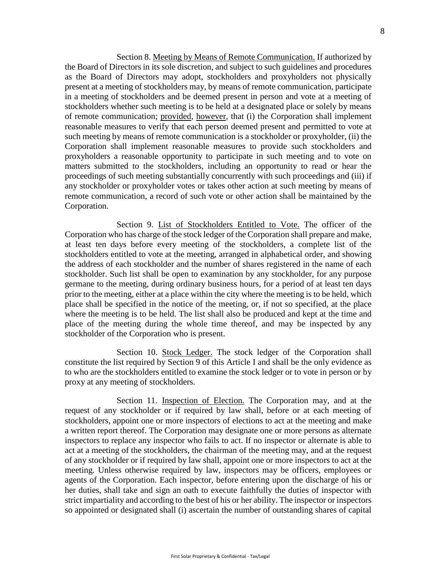Section 8. Meeting by Means of Remote Communication. If authorized by the Board of Directors in its sole discretion, and subject to such guidelines and procedures as the Board of Directors may adopt, stockholders and proxyholders not physically present at a meeting of stockholders may, by means of remote communication, participate in a meeting of stockholders and be deemed present in person and vote at a meeting of stockholders whether such meeting is to be held at a designated place or solely by means of remote communication; provided, however, that (i) the Corporation shall implement reasonable measures to verify that each person deemed present and permitted to vote at such meeting by means of remote communication is a stockholder or proxyholder, (ii) the Corporation shall implement reasonable measures to provide such stockholders and proxyholders a reasonable opportunity to participate in such meeting and to vote on matters submitted to the stockholders, including an opportunity to read or hear the proceedings of such meeting substantially concurrently with such proceedings and (iii) if any stockholder or proxyholder votes or takes other action at such meeting by means of remote communication, a record of such vote or other action shall be maintained by the Corporation.

Section 9. List of Stockholders Entitled to Vote. The officer of the Corporation who has charge of the stock ledger of the Corporation shall prepare and make, at least ten days before every meeting of the stockholders, a complete list of the stockholders entitled to vote at the meeting, arranged in alphabetical order, and showing the address of each stockholder and the number of shares registered in the name of each stockholder. Such list shall be open to examination by any stockholder, for any purpose germane to the meeting, during ordinary business hours, for a period of at least ten days prior to the meeting, either at a place within the city where the meeting is to be held, which place shall be specified in the notice of the meeting, or, if not so specified, at the place where the meeting is to be held. The list shall also be produced and kept at the time and place of the meeting during the whole time thereof, and may be inspected by any stockholder of the Corporation who is present.

Section 10. Stock Ledger. The stock ledger of the Corporation shall constitute the list required by Section 9 of this Article [I a](#page-0-0)nd shall be the only evidence as to who are the stockholders entitled to examine the stock ledger or to vote in person or by proxy at any meeting of stockholders.

Section 11. Inspection of Election. The Corporation may, and at the request of any stockholder or if required by law shall, before or at each meeting of stockholders, appoint one or more inspectors of elections to act at the meeting and make a written report thereof. The Corporation may designate one or more persons as alternate inspectors to replace any inspector who fails to act. If no inspector or alternate is able to act at a meeting of the stockholders, the chairman of the meeting may, and at the request of any stockholder or if required by law shall, appoint one or more inspectors to act at the meeting. Unless otherwise required by law, inspectors may be officers, employees or agents of the Corporation. Each inspector, before entering upon the discharge of his or her duties, shall take and sign an oath to execute faithfully the duties of inspector with strict impartiality and according to the best of his or her ability. The inspector or inspectors so appointed or designated shall (i) ascertain the number of outstanding shares of capital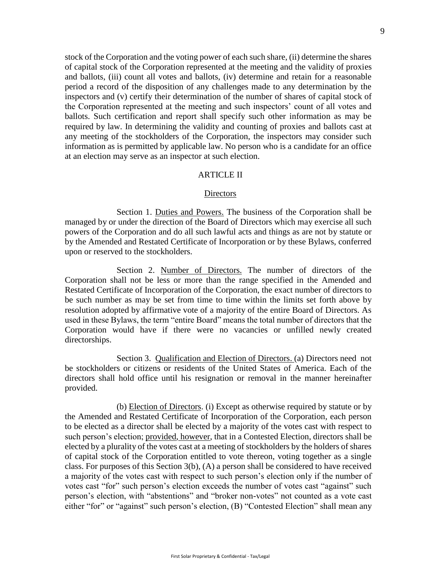stock of the Corporation and the voting power of each such share, (ii) determine the shares of capital stock of the Corporation represented at the meeting and the validity of proxies and ballots, (iii) count all votes and ballots, (iv) determine and retain for a reasonable period a record of the disposition of any challenges made to any determination by the inspectors and (v) certify their determination of the number of shares of capital stock of the Corporation represented at the meeting and such inspectors' count of all votes and ballots. Such certification and report shall specify such other information as may be required by law. In determining the validity and counting of proxies and ballots cast at any meeting of the stockholders of the Corporation, the inspectors may consider such information as is permitted by applicable law. No person who is a candidate for an office at an election may serve as an inspector at such election.

### ARTICLE II

#### **Directors**

<span id="page-8-1"></span>Section 1. Duties and Powers. The business of the Corporation shall be managed by or under the direction of the Board of Directors which may exercise all such powers of the Corporation and do all such lawful acts and things as are not by statute or by the Amended and Restated Certificate of Incorporation or by these Bylaws, conferred upon or reserved to the stockholders.

Section 2. Number of Directors. The number of directors of the Corporation shall not be less or more than the range specified in the Amended and Restated Certificate of Incorporation of the Corporation, the exact number of directors to be such number as may be set from time to time within the limits set forth above by resolution adopted by affirmative vote of a majority of the entire Board of Directors. As used in these Bylaws, the term "entire Board" means the total number of directors that the Corporation would have if there were no vacancies or unfilled newly created directorships.

<span id="page-8-0"></span>Section 3. Qualification and Election of Directors. (a) Directors need not be stockholders or citizens or residents of the United States of America. Each of the directors shall hold office until his resignation or removal in the manner hereinafter provided.

(b) Election of Directors. (i) Except as otherwise required by statute or by the Amended and Restated Certificate of Incorporation of the Corporation, each person to be elected as a director shall be elected by a majority of the votes cast with respect to such person's election; provided, however, that in a Contested Election, directors shall be elected by a plurality of the votes cast at a meeting of stockholders by the holders of shares of capital stock of the Corporation entitled to vote thereon, voting together as a single class. For purposes of this Section 3(b), (A) a person shall be considered to have received a majority of the votes cast with respect to such person's election only if the number of votes cast "for" such person's election exceeds the number of votes cast "against" such person's election, with "abstentions" and "broker non-votes" not counted as a vote cast either "for" or "against" such person's election, (B) "Contested Election" shall mean any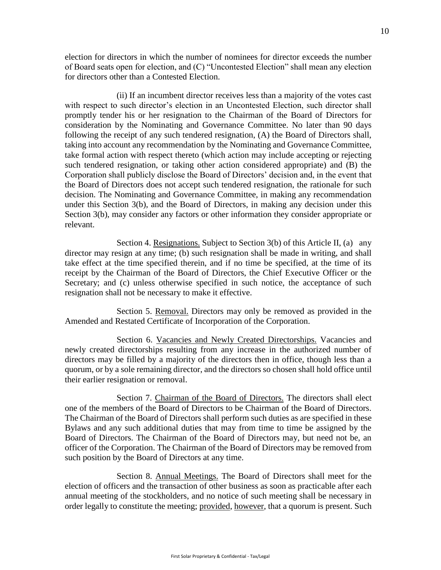election for directors in which the number of nominees for director exceeds the number of Board seats open for election, and (C) "Uncontested Election" shall mean any election for directors other than a Contested Election.

(ii) If an incumbent director receives less than a majority of the votes cast with respect to such director's election in an Uncontested Election, such director shall promptly tender his or her resignation to the Chairman of the Board of Directors for consideration by the Nominating and Governance Committee. No later than 90 days following the receipt of any such tendered resignation, (A) the Board of Directors shall, taking into account any recommendation by the Nominating and Governance Committee, take formal action with respect thereto (which action may include accepting or rejecting such tendered resignation, or taking other action considered appropriate) and (B) the Corporation shall publicly disclose the Board of Directors' decision and, in the event that the Board of Directors does not accept such tendered resignation, the rationale for such decision. The Nominating and Governance Committee, in making any recommendation under this Section 3(b), and the Board of Directors, in making any decision under this Section 3(b), may consider any factors or other information they consider appropriate or relevant.

Section 4. Resignations. Subject to Section 3(b) of this Article II, (a) any director may resign at any time; (b) such resignation shall be made in writing, and shall take effect at the time specified therein, and if no time be specified, at the time of its receipt by the Chairman of the Board of Directors, the Chief Executive Officer or the Secretary; and (c) unless otherwise specified in such notice, the acceptance of such resignation shall not be necessary to make it effective.

Section 5. Removal. Directors may only be removed as provided in the Amended and Restated Certificate of Incorporation of the Corporation.

Section 6. Vacancies and Newly Created Directorships. Vacancies and newly created directorships resulting from any increase in the authorized number of directors may be filled by a majority of the directors then in office, though less than a quorum, or by a sole remaining director, and the directors so chosen shall hold office until their earlier resignation or removal.

Section 7. Chairman of the Board of Directors. The directors shall elect one of the members of the Board of Directors to be Chairman of the Board of Directors. The Chairman of the Board of Directors shall perform such duties as are specified in these Bylaws and any such additional duties that may from time to time be assigned by the Board of Directors. The Chairman of the Board of Directors may, but need not be, an officer of the Corporation. The Chairman of the Board of Directors may be removed from such position by the Board of Directors at any time.

Section 8. Annual Meetings. The Board of Directors shall meet for the election of officers and the transaction of other business as soon as practicable after each annual meeting of the stockholders, and no notice of such meeting shall be necessary in order legally to constitute the meeting; provided, however, that a quorum is present. Such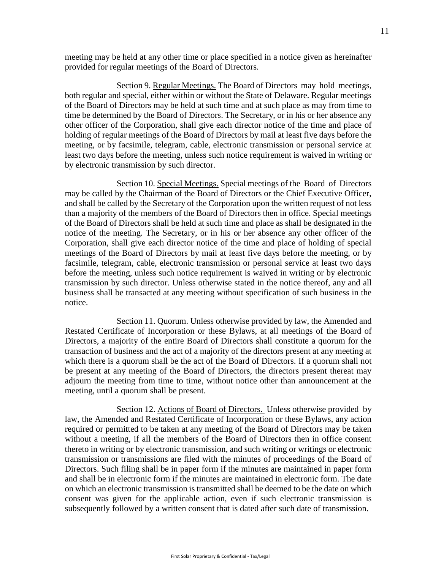meeting may be held at any other time or place specified in a notice given as hereinafter provided for regular meetings of the Board of Directors.

Section 9. Regular Meetings. The Board of Directors may hold meetings, both regular and special, either within or without the State of Delaware. Regular meetings of the Board of Directors may be held at such time and at such place as may from time to time be determined by the Board of Directors. The Secretary, or in his or her absence any other officer of the Corporation, shall give each director notice of the time and place of holding of regular meetings of the Board of Directors by mail at least five days before the meeting, or by facsimile, telegram, cable, electronic transmission or personal service at least two days before the meeting, unless such notice requirement is waived in writing or by electronic transmission by such director.

Section 10. Special Meetings. Special meetings of the Board of Directors may be called by the Chairman of the Board of Directors or the Chief Executive Officer, and shall be called by the Secretary of the Corporation upon the written request of not less than a majority of the members of the Board of Directors then in office. Special meetings of the Board of Directors shall be held at such time and place as shall be designated in the notice of the meeting. The Secretary, or in his or her absence any other officer of the Corporation, shall give each director notice of the time and place of holding of special meetings of the Board of Directors by mail at least five days before the meeting, or by facsimile, telegram, cable, electronic transmission or personal service at least two days before the meeting, unless such notice requirement is waived in writing or by electronic transmission by such director. Unless otherwise stated in the notice thereof, any and all business shall be transacted at any meeting without specification of such business in the notice.

Section 11. Quorum. Unless otherwise provided by law, the Amended and Restated Certificate of Incorporation or these Bylaws, at all meetings of the Board of Directors, a majority of the entire Board of Directors shall constitute a quorum for the transaction of business and the act of a majority of the directors present at any meeting at which there is a quorum shall be the act of the Board of Directors. If a quorum shall not be present at any meeting of the Board of Directors, the directors present thereat may adjourn the meeting from time to time, without notice other than announcement at the meeting, until a quorum shall be present.

Section 12. Actions of Board of Directors. Unless otherwise provided by law, the Amended and Restated Certificate of Incorporation or these Bylaws, any action required or permitted to be taken at any meeting of the Board of Directors may be taken without a meeting, if all the members of the Board of Directors then in office consent thereto in writing or by electronic transmission, and such writing or writings or electronic transmission or transmissions are filed with the minutes of proceedings of the Board of Directors. Such filing shall be in paper form if the minutes are maintained in paper form and shall be in electronic form if the minutes are maintained in electronic form. The date on which an electronic transmission is transmitted shall be deemed to be the date on which consent was given for the applicable action, even if such electronic transmission is subsequently followed by a written consent that is dated after such date of transmission.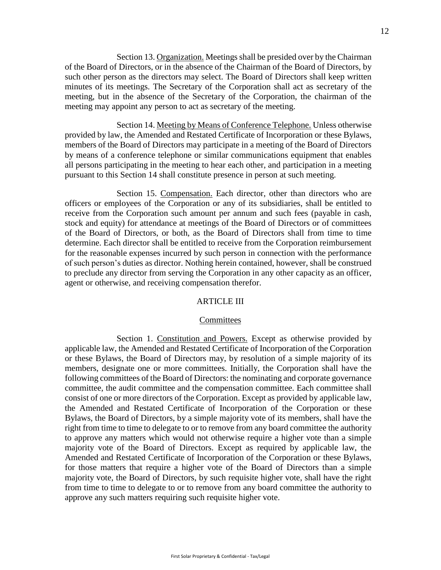Section 13. Organization. Meetings shall be presided over by the Chairman of the Board of Directors, or in the absence of the Chairman of the Board of Directors, by such other person as the directors may select. The Board of Directors shall keep written minutes of its meetings. The Secretary of the Corporation shall act as secretary of the meeting, but in the absence of the Secretary of the Corporation, the chairman of the meeting may appoint any person to act as secretary of the meeting.

Section 14. Meeting by Means of Conference Telephone. Unless otherwise provided by law, the Amended and Restated Certificate of Incorporation or these Bylaws, members of the Board of Directors may participate in a meeting of the Board of Directors by means of a conference telephone or similar communications equipment that enables all persons participating in the meeting to hear each other, and participation in a meeting pursuant to this Section 14 shall constitute presence in person at such meeting.

Section 15. Compensation. Each director, other than directors who are officers or employees of the Corporation or any of its subsidiaries, shall be entitled to receive from the Corporation such amount per annum and such fees (payable in cash, stock and equity) for attendance at meetings of the Board of Directors or of committees of the Board of Directors, or both, as the Board of Directors shall from time to time determine. Each director shall be entitled to receive from the Corporation reimbursement for the reasonable expenses incurred by such person in connection with the performance of such person's duties as director. Nothing herein contained, however, shall be construed to preclude any director from serving the Corporation in any other capacity as an officer, agent or otherwise, and receiving compensation therefor.

### ARTICLE III

### **Committees**

Section 1. Constitution and Powers. Except as otherwise provided by applicable law, the Amended and Restated Certificate of Incorporation of the Corporation or these Bylaws, the Board of Directors may, by resolution of a simple majority of its members, designate one or more committees. Initially, the Corporation shall have the following committees of the Board of Directors: the nominating and corporate governance committee, the audit committee and the compensation committee. Each committee shall consist of one or more directors of the Corporation. Except as provided by applicable law, the Amended and Restated Certificate of Incorporation of the Corporation or these Bylaws, the Board of Directors, by a simple majority vote of its members, shall have the right from time to time to delegate to or to remove from any board committee the authority to approve any matters which would not otherwise require a higher vote than a simple majority vote of the Board of Directors. Except as required by applicable law, the Amended and Restated Certificate of Incorporation of the Corporation or these Bylaws, for those matters that require a higher vote of the Board of Directors than a simple majority vote, the Board of Directors, by such requisite higher vote, shall have the right from time to time to delegate to or to remove from any board committee the authority to approve any such matters requiring such requisite higher vote.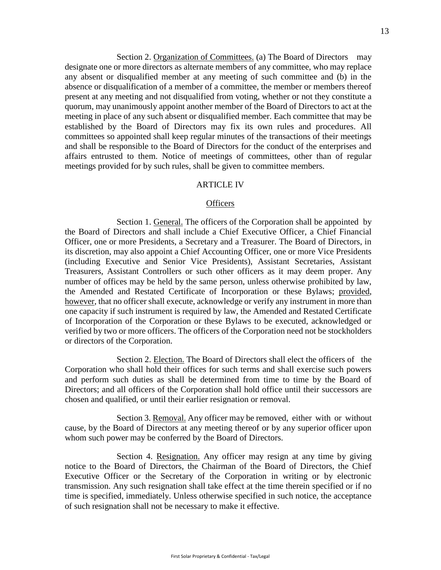Section 2. Organization of Committees. (a) The Board of Directors may designate one or more directors as alternate members of any committee, who may replace any absent or disqualified member at any meeting of such committee and (b) in the absence or disqualification of a member of a committee, the member or members thereof present at any meeting and not disqualified from voting, whether or not they constitute a quorum, may unanimously appoint another member of the Board of Directors to act at the meeting in place of any such absent or disqualified member. Each committee that may be established by the Board of Directors may fix its own rules and procedures. All committees so appointed shall keep regular minutes of the transactions of their meetings and shall be responsible to the Board of Directors for the conduct of the enterprises and affairs entrusted to them. Notice of meetings of committees, other than of regular meetings provided for by such rules, shall be given to committee members.

#### **ARTICLE IV**

### **Officers**

Section 1. General. The officers of the Corporation shall be appointed by the Board of Directors and shall include a Chief Executive Officer, a Chief Financial Officer, one or more Presidents, a Secretary and a Treasurer. The Board of Directors, in its discretion, may also appoint a Chief Accounting Officer, one or more Vice Presidents (including Executive and Senior Vice Presidents), Assistant Secretaries, Assistant Treasurers, Assistant Controllers or such other officers as it may deem proper. Any number of offices may be held by the same person, unless otherwise prohibited by law, the Amended and Restated Certificate of Incorporation or these Bylaws; provided, however, that no officer shall execute, acknowledge or verify any instrument in more than one capacity if such instrument is required by law, the Amended and Restated Certificate of Incorporation of the Corporation or these Bylaws to be executed, acknowledged or verified by two or more officers. The officers of the Corporation need not be stockholders or directors of the Corporation.

Section 2. Election. The Board of Directors shall elect the officers of the Corporation who shall hold their offices for such terms and shall exercise such powers and perform such duties as shall be determined from time to time by the Board of Directors; and all officers of the Corporation shall hold office until their successors are chosen and qualified, or until their earlier resignation or removal.

Section 3. Removal. Any officer may be removed, either with or without cause, by the Board of Directors at any meeting thereof or by any superior officer upon whom such power may be conferred by the Board of Directors.

Section 4. Resignation. Any officer may resign at any time by giving notice to the Board of Directors, the Chairman of the Board of Directors, the Chief Executive Officer or the Secretary of the Corporation in writing or by electronic transmission. Any such resignation shall take effect at the time therein specified or if no time is specified, immediately. Unless otherwise specified in such notice, the acceptance of such resignation shall not be necessary to make it effective.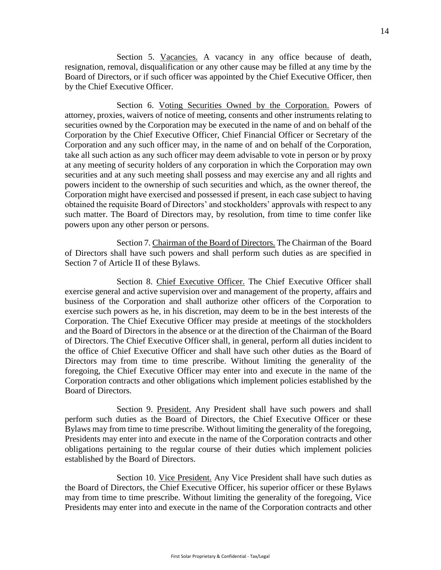Section 5. Vacancies. A vacancy in any office because of death, resignation, removal, disqualification or any other cause may be filled at any time by the Board of Directors, or if such officer was appointed by the Chief Executive Officer, then by the Chief Executive Officer.

Section 6. Voting Securities Owned by the Corporation. Powers of attorney, proxies, waivers of notice of meeting, consents and other instruments relating to securities owned by the Corporation may be executed in the name of and on behalf of the Corporation by the Chief Executive Officer, Chief Financial Officer or Secretary of the Corporation and any such officer may, in the name of and on behalf of the Corporation, take all such action as any such officer may deem advisable to vote in person or by proxy at any meeting of security holders of any corporation in which the Corporation may own securities and at any such meeting shall possess and may exercise any and all rights and powers incident to the ownership of such securities and which, as the owner thereof, the Corporation might have exercised and possessed if present, in each case subject to having obtained the requisite Board of Directors' and stockholders' approvals with respect to any such matter. The Board of Directors may, by resolution, from time to time confer like powers upon any other person or persons.

Section 7. Chairman of the Board of Directors. The Chairman of the Board of Directors shall have such powers and shall perform such duties as are specified in Section 7 of Article [II o](#page-8-1)f these Bylaws.

Section 8. Chief Executive Officer. The Chief Executive Officer shall exercise general and active supervision over and management of the property, affairs and business of the Corporation and shall authorize other officers of the Corporation to exercise such powers as he, in his discretion, may deem to be in the best interests of the Corporation. The Chief Executive Officer may preside at meetings of the stockholders and the Board of Directors in the absence or at the direction of the Chairman of the Board of Directors. The Chief Executive Officer shall, in general, perform all duties incident to the office of Chief Executive Officer and shall have such other duties as the Board of Directors may from time to time prescribe. Without limiting the generality of the foregoing, the Chief Executive Officer may enter into and execute in the name of the Corporation contracts and other obligations which implement policies established by the Board of Directors.

Section 9. President. Any President shall have such powers and shall perform such duties as the Board of Directors, the Chief Executive Officer or these Bylaws may from time to time prescribe. Without limiting the generality of the foregoing, Presidents may enter into and execute in the name of the Corporation contracts and other obligations pertaining to the regular course of their duties which implement policies established by the Board of Directors.

Section 10. Vice President. Any Vice President shall have such duties as the Board of Directors, the Chief Executive Officer, his superior officer or these Bylaws may from time to time prescribe. Without limiting the generality of the foregoing, Vice Presidents may enter into and execute in the name of the Corporation contracts and other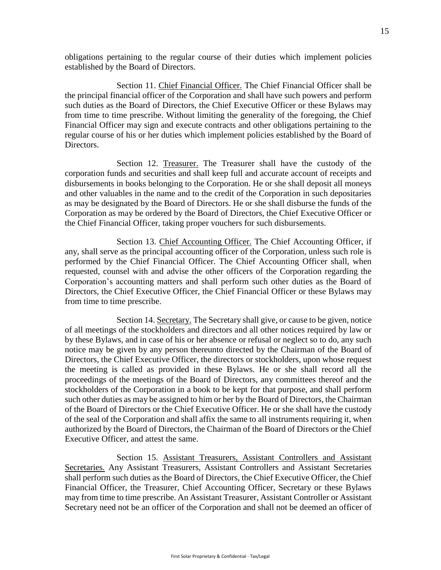obligations pertaining to the regular course of their duties which implement policies established by the Board of Directors.

Section 11. Chief Financial Officer. The Chief Financial Officer shall be the principal financial officer of the Corporation and shall have such powers and perform such duties as the Board of Directors, the Chief Executive Officer or these Bylaws may from time to time prescribe. Without limiting the generality of the foregoing, the Chief Financial Officer may sign and execute contracts and other obligations pertaining to the regular course of his or her duties which implement policies established by the Board of Directors.

Section 12. Treasurer. The Treasurer shall have the custody of the corporation funds and securities and shall keep full and accurate account of receipts and disbursements in books belonging to the Corporation. He or she shall deposit all moneys and other valuables in the name and to the credit of the Corporation in such depositaries as may be designated by the Board of Directors. He or she shall disburse the funds of the Corporation as may be ordered by the Board of Directors, the Chief Executive Officer or the Chief Financial Officer, taking proper vouchers for such disbursements.

Section 13. Chief Accounting Officer. The Chief Accounting Officer, if any, shall serve as the principal accounting officer of the Corporation, unless such role is performed by the Chief Financial Officer. The Chief Accounting Officer shall, when requested, counsel with and advise the other officers of the Corporation regarding the Corporation's accounting matters and shall perform such other duties as the Board of Directors, the Chief Executive Officer, the Chief Financial Officer or these Bylaws may from time to time prescribe.

Section 14. Secretary. The Secretary shall give, or cause to be given, notice of all meetings of the stockholders and directors and all other notices required by law or by these Bylaws, and in case of his or her absence or refusal or neglect so to do, any such notice may be given by any person thereunto directed by the Chairman of the Board of Directors, the Chief Executive Officer, the directors or stockholders, upon whose request the meeting is called as provided in these Bylaws. He or she shall record all the proceedings of the meetings of the Board of Directors, any committees thereof and the stockholders of the Corporation in a book to be kept for that purpose, and shall perform such other duties as may be assigned to him or her by the Board of Directors, the Chairman of the Board of Directors or the Chief Executive Officer. He or she shall have the custody of the seal of the Corporation and shall affix the same to all instruments requiring it, when authorized by the Board of Directors, the Chairman of the Board of Directors or the Chief Executive Officer, and attest the same.

Section 15. Assistant Treasurers, Assistant Controllers and Assistant Secretaries. Any Assistant Treasurers, Assistant Controllers and Assistant Secretaries shall perform such duties as the Board of Directors, the Chief Executive Officer, the Chief Financial Officer, the Treasurer, Chief Accounting Officer, Secretary or these Bylaws may from time to time prescribe. An Assistant Treasurer, Assistant Controller or Assistant Secretary need not be an officer of the Corporation and shall not be deemed an officer of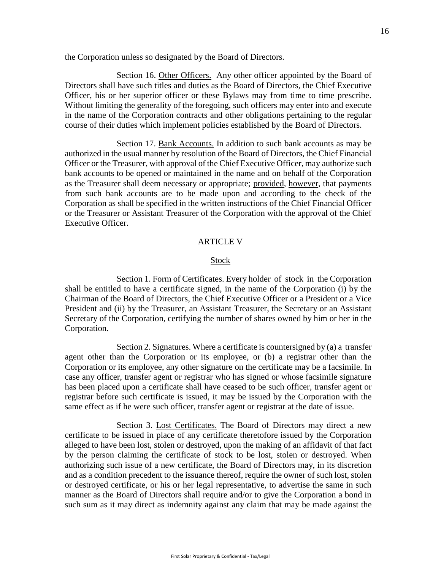the Corporation unless so designated by the Board of Directors.

Section 16. Other Officers. Any other officer appointed by the Board of Directors shall have such titles and duties as the Board of Directors, the Chief Executive Officer, his or her superior officer or these Bylaws may from time to time prescribe. Without limiting the generality of the foregoing, such officers may enter into and execute in the name of the Corporation contracts and other obligations pertaining to the regular course of their duties which implement policies established by the Board of Directors.

Section 17. Bank Accounts. In addition to such bank accounts as may be authorized in the usual manner by resolution of the Board of Directors, the Chief Financial Officer or the Treasurer, with approval of the Chief Executive Officer, may authorize such bank accounts to be opened or maintained in the name and on behalf of the Corporation as the Treasurer shall deem necessary or appropriate; provided, however, that payments from such bank accounts are to be made upon and according to the check of the Corporation as shall be specified in the written instructions of the Chief Financial Officer or the Treasurer or Assistant Treasurer of the Corporation with the approval of the Chief Executive Officer.

### ARTICLE V

#### **Stock**

Section 1. Form of Certificates. Every holder of stock in the Corporation shall be entitled to have a certificate signed, in the name of the Corporation (i) by the Chairman of the Board of Directors, the Chief Executive Officer or a President or a Vice President and (ii) by the Treasurer, an Assistant Treasurer, the Secretary or an Assistant Secretary of the Corporation, certifying the number of shares owned by him or her in the Corporation.

Section 2. Signatures. Where a certificate is countersigned by (a) a transfer agent other than the Corporation or its employee, or (b) a registrar other than the Corporation or its employee, any other signature on the certificate may be a facsimile. In case any officer, transfer agent or registrar who has signed or whose facsimile signature has been placed upon a certificate shall have ceased to be such officer, transfer agent or registrar before such certificate is issued, it may be issued by the Corporation with the same effect as if he were such officer, transfer agent or registrar at the date of issue.

Section 3. Lost Certificates. The Board of Directors may direct a new certificate to be issued in place of any certificate theretofore issued by the Corporation alleged to have been lost, stolen or destroyed, upon the making of an affidavit of that fact by the person claiming the certificate of stock to be lost, stolen or destroyed. When authorizing such issue of a new certificate, the Board of Directors may, in its discretion and as a condition precedent to the issuance thereof, require the owner of such lost, stolen or destroyed certificate, or his or her legal representative, to advertise the same in such manner as the Board of Directors shall require and/or to give the Corporation a bond in such sum as it may direct as indemnity against any claim that may be made against the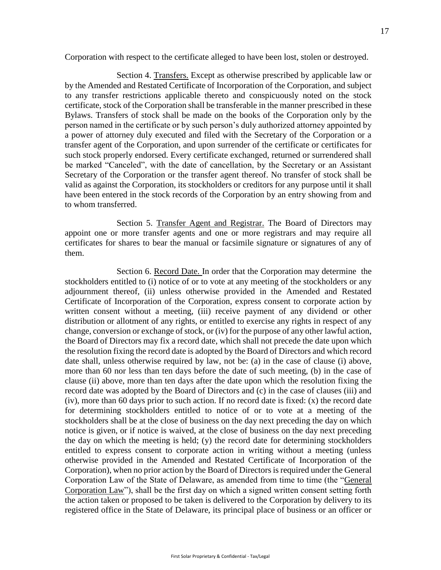Corporation with respect to the certificate alleged to have been lost, stolen or destroyed.

Section 4. Transfers. Except as otherwise prescribed by applicable law or by the Amended and Restated Certificate of Incorporation of the Corporation, and subject to any transfer restrictions applicable thereto and conspicuously noted on the stock certificate, stock of the Corporation shall be transferable in the manner prescribed in these Bylaws. Transfers of stock shall be made on the books of the Corporation only by the person named in the certificate or by such person's duly authorized attorney appointed by a power of attorney duly executed and filed with the Secretary of the Corporation or a transfer agent of the Corporation, and upon surrender of the certificate or certificates for such stock properly endorsed. Every certificate exchanged, returned or surrendered shall be marked "Canceled", with the date of cancellation, by the Secretary or an Assistant Secretary of the Corporation or the transfer agent thereof. No transfer of stock shall be valid as against the Corporation, its stockholders or creditors for any purpose until it shall have been entered in the stock records of the Corporation by an entry showing from and to whom transferred.

Section 5. Transfer Agent and Registrar. The Board of Directors may appoint one or more transfer agents and one or more registrars and may require all certificates for shares to bear the manual or facsimile signature or signatures of any of them.

Section 6. Record Date. In order that the Corporation may determine the stockholders entitled to (i) notice of or to vote at any meeting of the stockholders or any adjournment thereof, (ii) unless otherwise provided in the Amended and Restated Certificate of Incorporation of the Corporation, express consent to corporate action by written consent without a meeting, (iii) receive payment of any dividend or other distribution or allotment of any rights, or entitled to exercise any rights in respect of any change, conversion or exchange of stock, or (iv) for the purpose of any other lawful action, the Board of Directors may fix a record date, which shall not precede the date upon which the resolution fixing the record date is adopted by the Board of Directors and which record date shall, unless otherwise required by law, not be: (a) in the case of clause (i) above, more than 60 nor less than ten days before the date of such meeting, (b) in the case of clause (ii) above, more than ten days after the date upon which the resolution fixing the record date was adopted by the Board of Directors and (c) in the case of clauses (iii) and (iv), more than 60 days prior to such action. If no record date is fixed: (x) the record date for determining stockholders entitled to notice of or to vote at a meeting of the stockholders shall be at the close of business on the day next preceding the day on which notice is given, or if notice is waived, at the close of business on the day next preceding the day on which the meeting is held; (y) the record date for determining stockholders entitled to express consent to corporate action in writing without a meeting (unless otherwise provided in the Amended and Restated Certificate of Incorporation of the Corporation), when no prior action by the Board of Directors is required under the General Corporation Law of the State of Delaware, as amended from time to time (the "General Corporation Law"), shall be the first day on which a signed written consent setting forth the action taken or proposed to be taken is delivered to the Corporation by delivery to its registered office in the State of Delaware, its principal place of business or an officer or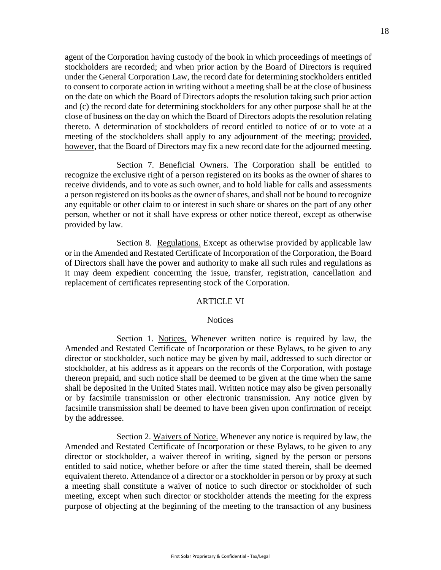agent of the Corporation having custody of the book in which proceedings of meetings of stockholders are recorded; and when prior action by the Board of Directors is required under the General Corporation Law, the record date for determining stockholders entitled to consent to corporate action in writing without a meeting shall be at the close of business on the date on which the Board of Directors adopts the resolution taking such prior action and (c) the record date for determining stockholders for any other purpose shall be at the close of business on the day on which the Board of Directors adopts the resolution relating thereto. A determination of stockholders of record entitled to notice of or to vote at a meeting of the stockholders shall apply to any adjournment of the meeting; provided, however, that the Board of Directors may fix a new record date for the adjourned meeting.

Section 7. Beneficial Owners. The Corporation shall be entitled to recognize the exclusive right of a person registered on its books as the owner of shares to receive dividends, and to vote as such owner, and to hold liable for calls and assessments a person registered on its books as the owner of shares, and shall not be bound to recognize any equitable or other claim to or interest in such share or shares on the part of any other person, whether or not it shall have express or other notice thereof, except as otherwise provided by law.

Section 8. Regulations. Except as otherwise provided by applicable law or in the Amended and Restated Certificate of Incorporation of the Corporation, the Board of Directors shall have the power and authority to make all such rules and regulations as it may deem expedient concerning the issue, transfer, registration, cancellation and replacement of certificates representing stock of the Corporation.

### ARTICLE VI

### **Notices**

<span id="page-17-1"></span>Section 1. Notices. Whenever written notice is required by law, the Amended and Restated Certificate of Incorporation or these Bylaws, to be given to any director or stockholder, such notice may be given by mail, addressed to such director or stockholder, at his address as it appears on the records of the Corporation, with postage thereon prepaid, and such notice shall be deemed to be given at the time when the same shall be deposited in the United States mail. Written notice may also be given personally or by facsimile transmission or other electronic transmission. Any notice given by facsimile transmission shall be deemed to have been given upon confirmation of receipt by the addressee.

<span id="page-17-0"></span>Section 2. Waivers of Notice. Whenever any notice is required by law, the Amended and Restated Certificate of Incorporation or these Bylaws, to be given to any director or stockholder, a waiver thereof in writing, signed by the person or persons entitled to said notice, whether before or after the time stated therein, shall be deemed equivalent thereto. Attendance of a director or a stockholder in person or by proxy at such a meeting shall constitute a waiver of notice to such director or stockholder of such meeting, except when such director or stockholder attends the meeting for the express purpose of objecting at the beginning of the meeting to the transaction of any business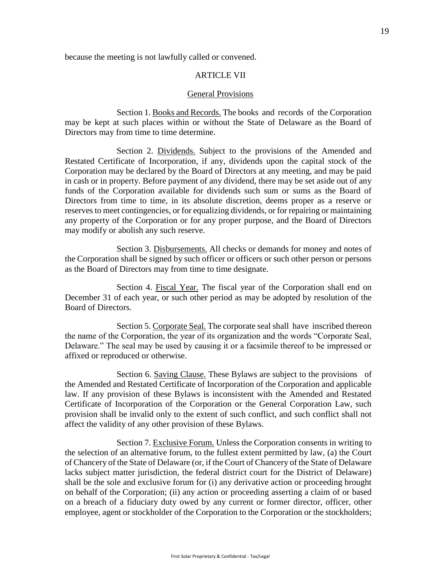because the meeting is not lawfully called or convened.

#### ARTICLE VII

#### General Provisions

Section 1. Books and Records. The books and records of the Corporation may be kept at such places within or without the State of Delaware as the Board of Directors may from time to time determine.

Section 2. Dividends. Subject to the provisions of the Amended and Restated Certificate of Incorporation, if any, dividends upon the capital stock of the Corporation may be declared by the Board of Directors at any meeting, and may be paid in cash or in property. Before payment of any dividend, there may be set aside out of any funds of the Corporation available for dividends such sum or sums as the Board of Directors from time to time, in its absolute discretion, deems proper as a reserve or reserves to meet contingencies, or for equalizing dividends, or for repairing or maintaining any property of the Corporation or for any proper purpose, and the Board of Directors may modify or abolish any such reserve.

Section 3. Disbursements. All checks or demands for money and notes of the Corporation shall be signed by such officer or officers or such other person or persons as the Board of Directors may from time to time designate.

Section 4. Fiscal Year. The fiscal year of the Corporation shall end on December 31 of each year, or such other period as may be adopted by resolution of the Board of Directors.

Section 5. Corporate Seal. The corporate seal shall have inscribed thereon the name of the Corporation, the year of its organization and the words "Corporate Seal, Delaware." The seal may be used by causing it or a facsimile thereof to be impressed or affixed or reproduced or otherwise.

Section 6. Saving Clause. These Bylaws are subject to the provisions of the Amended and Restated Certificate of Incorporation of the Corporation and applicable law. If any provision of these Bylaws is inconsistent with the Amended and Restated Certificate of Incorporation of the Corporation or the General Corporation Law, such provision shall be invalid only to the extent of such conflict, and such conflict shall not affect the validity of any other provision of these Bylaws.

Section 7. Exclusive Forum. Unless the Corporation consents in writing to the selection of an alternative forum, to the fullest extent permitted by law, (a) the Court of Chancery of the State of Delaware (or, if the Court of Chancery of the State of Delaware lacks subject matter jurisdiction, the federal district court for the District of Delaware) shall be the sole and exclusive forum for (i) any derivative action or proceeding brought on behalf of the Corporation; (ii) any action or proceeding asserting a claim of or based on a breach of a fiduciary duty owed by any current or former director, officer, other employee, agent or stockholder of the Corporation to the Corporation or the stockholders;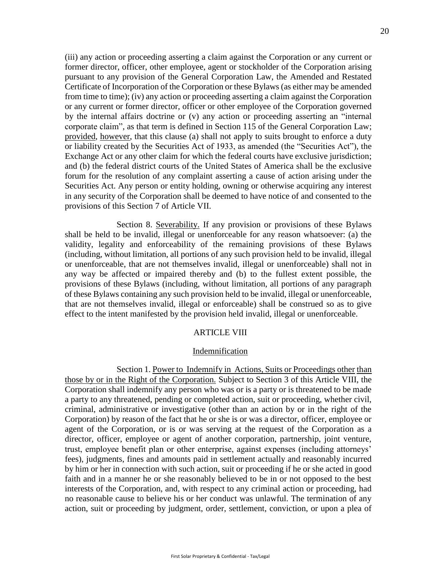(iii) any action or proceeding asserting a claim against the Corporation or any current or former director, officer, other employee, agent or stockholder of the Corporation arising pursuant to any provision of the General Corporation Law, the Amended and Restated Certificate of Incorporation of the Corporation or these Bylaws (as either may be amended from time to time); (iv) any action or proceeding asserting a claim against the Corporation or any current or former director, officer or other employee of the Corporation governed by the internal affairs doctrine or (v) any action or proceeding asserting an "internal corporate claim", as that term is defined in Section 115 of the General Corporation Law; provided, however, that this clause (a) shall not apply to suits brought to enforce a duty or liability created by the Securities Act of 1933, as amended (the "Securities Act"), the Exchange Act or any other claim for which the federal courts have exclusive jurisdiction; and (b) the federal district courts of the United States of America shall be the exclusive forum for the resolution of any complaint asserting a cause of action arising under the Securities Act. Any person or entity holding, owning or otherwise acquiring any interest in any security of the Corporation shall be deemed to have notice of and consented to the provisions of this Section 7 of Article VII.

Section 8. Severability. If any provision or provisions of these Bylaws shall be held to be invalid, illegal or unenforceable for any reason whatsoever: (a) the validity, legality and enforceability of the remaining provisions of these Bylaws (including, without limitation, all portions of any such provision held to be invalid, illegal or unenforceable, that are not themselves invalid, illegal or unenforceable) shall not in any way be affected or impaired thereby and (b) to the fullest extent possible, the provisions of these Bylaws (including, without limitation, all portions of any paragraph of these Bylaws containing any such provision held to be invalid, illegal or unenforceable, that are not themselves invalid, illegal or enforceable) shall be construed so as to give effect to the intent manifested by the provision held invalid, illegal or unenforceable.

### ARTICLE VIII

#### Indemnification

<span id="page-19-0"></span>Section 1. Power to Indemnify in Actions, Suits or Proceedings other than those by or in the Right of the Corporation. Subject to Section 3 of this Article [VIII,](#page-19-0) the Corporation shall indemnify any person who was or is a party or is threatened to be made a party to any threatened, pending or completed action, suit or proceeding, whether civil, criminal, administrative or investigative (other than an action by or in the right of the Corporation) by reason of the fact that he or she is or was a director, officer, employee or agent of the Corporation, or is or was serving at the request of the Corporation as a director, officer, employee or agent of another corporation, partnership, joint venture, trust, employee benefit plan or other enterprise, against expenses (including attorneys' fees), judgments, fines and amounts paid in settlement actually and reasonably incurred by him or her in connection with such action, suit or proceeding if he or she acted in good faith and in a manner he or she reasonably believed to be in or not opposed to the best interests of the Corporation, and, with respect to any criminal action or proceeding, had no reasonable cause to believe his or her conduct was unlawful. The termination of any action, suit or proceeding by judgment, order, settlement, conviction, or upon a plea of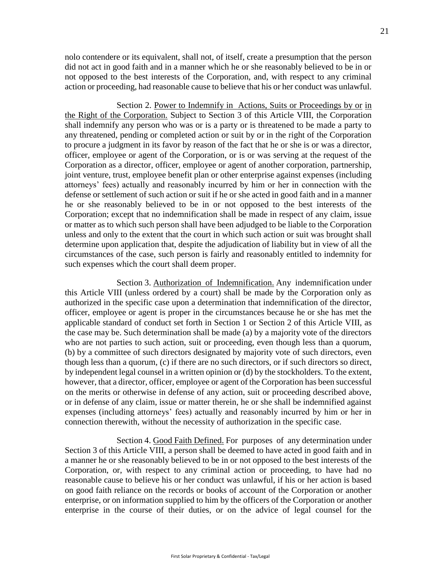nolo contendere or its equivalent, shall not, of itself, create a presumption that the person did not act in good faith and in a manner which he or she reasonably believed to be in or not opposed to the best interests of the Corporation, and, with respect to any criminal action or proceeding, had reasonable cause to believe that his or her conduct was unlawful.

Section 2. Power to Indemnify in Actions, Suits or Proceedings by or in the Right of the Corporation. Subject to Section 3 of this Article [VIII,](#page-19-0) the Corporation shall indemnify any person who was or is a party or is threatened to be made a party to any threatened, pending or completed action or suit by or in the right of the Corporation to procure a judgment in its favor by reason of the fact that he or she is or was a director, officer, employee or agent of the Corporation, or is or was serving at the request of the Corporation as a director, officer, employee or agent of another corporation, partnership, joint venture, trust, employee benefit plan or other enterprise against expenses (including attorneys' fees) actually and reasonably incurred by him or her in connection with the defense or settlement of such action or suit if he or she acted in good faith and in a manner he or she reasonably believed to be in or not opposed to the best interests of the Corporation; except that no indemnification shall be made in respect of any claim, issue or matter as to which such person shall have been adjudged to be liable to the Corporation unless and only to the extent that the court in which such action or suit was brought shall determine upon application that, despite the adjudication of liability but in view of all the circumstances of the case, such person is fairly and reasonably entitled to indemnity for such expenses which the court shall deem proper.

Section 3. Authorization of Indemnification. Any indemnification under this Article [VIII \(](#page-19-0)unless ordered by a court) shall be made by the Corporation only as authorized in the specific case upon a determination that indemnification of the director, officer, employee or agent is proper in the circumstances because he or she has met the applicable standard of conduct set forth in Section 1 or Section 2 of this Article [VIII, a](#page-19-0)s the case may be. Such determination shall be made (a) by a majority vote of the directors who are not parties to such action, suit or proceeding, even though less than a quorum, (b) by a committee of such directors designated by majority vote of such directors, even though less than a quorum, (c) if there are no such directors, or if such directors so direct, by independent legal counsel in a written opinion or (d) by the stockholders. To the extent, however, that a director, officer, employee or agent of the Corporation has been successful on the merits or otherwise in defense of any action, suit or proceeding described above, or in defense of any claim, issue or matter therein, he or she shall be indemnified against expenses (including attorneys' fees) actually and reasonably incurred by him or her in connection therewith, without the necessity of authorization in the specific case.

Section 4. Good Faith Defined. For purposes of any determination under Section 3 of this Article [VIII, a](#page-19-0) person shall be deemed to have acted in good faith and in a manner he or she reasonably believed to be in or not opposed to the best interests of the Corporation, or, with respect to any criminal action or proceeding, to have had no reasonable cause to believe his or her conduct was unlawful, if his or her action is based on good faith reliance on the records or books of account of the Corporation or another enterprise, or on information supplied to him by the officers of the Corporation or another enterprise in the course of their duties, or on the advice of legal counsel for the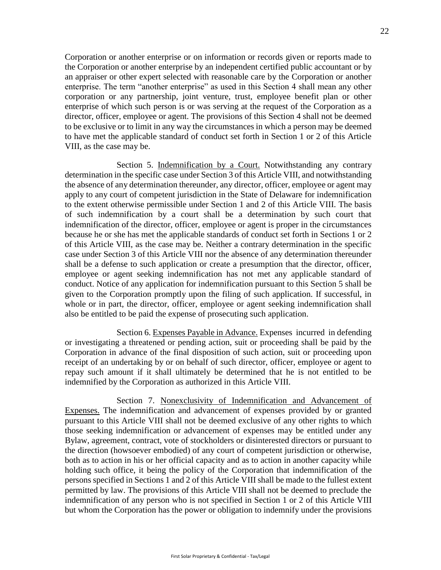Corporation or another enterprise or on information or records given or reports made to the Corporation or another enterprise by an independent certified public accountant or by an appraiser or other expert selected with reasonable care by the Corporation or another enterprise. The term "another enterprise" as used in this Section 4 shall mean any other corporation or any partnership, joint venture, trust, employee benefit plan or other enterprise of which such person is or was serving at the request of the Corporation as a director, officer, employee or agent. The provisions of this Section 4 shall not be deemed to be exclusive or to limit in any way the circumstances in which a person may be deemed to have met the applicable standard of conduct set forth in Section 1 or 2 of this Article [VIII, a](#page-19-0)s the case may be.

Section 5. Indemnification by a Court. Notwithstanding any contrary determination in the specific case under Section 3 of this Articl[e VIII,](#page-19-0) and notwithstanding the absence of any determination thereunder, any director, officer, employee or agent may apply to any court of competent jurisdiction in the State of Delaware for indemnification to the extent otherwise permissible under Section 1 and 2 of this Article [VIII.](#page-19-0) The basis of such indemnification by a court shall be a determination by such court that indemnification of the director, officer, employee or agent is proper in the circumstances because he or she has met the applicable standards of conduct set forth in Sections 1 or 2 of this Article [VIII,](#page-19-0) as the case may be. Neither a contrary determination in the specific case under Section 3 of this Article [VIII n](#page-19-0)or the absence of any determination thereunder shall be a defense to such application or create a presumption that the director, officer, employee or agent seeking indemnification has not met any applicable standard of conduct. Notice of any application for indemnification pursuant to this Section 5 shall be given to the Corporation promptly upon the filing of such application. If successful, in whole or in part, the director, officer, employee or agent seeking indemnification shall also be entitled to be paid the expense of prosecuting such application.

Section 6. Expenses Payable in Advance. Expenses incurred in defending or investigating a threatened or pending action, suit or proceeding shall be paid by the Corporation in advance of the final disposition of such action, suit or proceeding upon receipt of an undertaking by or on behalf of such director, officer, employee or agent to repay such amount if it shall ultimately be determined that he is not entitled to be indemnified by the Corporation as authorized in this Article [VIII.](#page-19-0)

Section 7. Nonexclusivity of Indemnification and Advancement of Expenses. The indemnification and advancement of expenses provided by or granted pursuant to this Article [VIII s](#page-19-0)hall not be deemed exclusive of any other rights to which those seeking indemnification or advancement of expenses may be entitled under any Bylaw, agreement, contract, vote of stockholders or disinterested directors or pursuant to the direction (howsoever embodied) of any court of competent jurisdiction or otherwise, both as to action in his or her official capacity and as to action in another capacity while holding such office, it being the policy of the Corporation that indemnification of the persons specified in Sections 1 and 2 of this Article [VIII s](#page-19-0)hall be made to the fullest extent permitted by law. The provisions of this Article VIII shall not be deemed to preclude the indemnification of any person who is not specified in Section 1 or 2 of this Article [VIII](#page-19-0)  but whom the Corporation has the power or obligation to indemnify under the provisions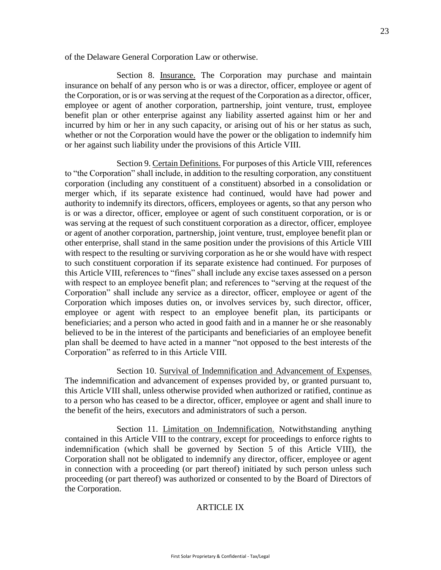of the Delaware General Corporation Law or otherwise.

Section 8. Insurance. The Corporation may purchase and maintain insurance on behalf of any person who is or was a director, officer, employee or agent of the Corporation, or is or was serving at the request of the Corporation as a director, officer, employee or agent of another corporation, partnership, joint venture, trust, employee benefit plan or other enterprise against any liability asserted against him or her and incurred by him or her in any such capacity, or arising out of his or her status as such, whether or not the Corporation would have the power or the obligation to indemnify him or her against such liability under the provisions of this Article [VIII.](#page-19-0)

Section 9. Certain Definitions. For purposes of this Article [VIII,](#page-19-0) references to "the Corporation" shall include, in addition to the resulting corporation, any constituent corporation (including any constituent of a constituent) absorbed in a consolidation or merger which, if its separate existence had continued, would have had power and authority to indemnify its directors, officers, employees or agents, so that any person who is or was a director, officer, employee or agent of such constituent corporation, or is or was serving at the request of such constituent corporation as a director, officer, employee or agent of another corporation, partnership, joint venture, trust, employee benefit plan or other enterprise, shall stand in the same position under the provisions of this Article [VIII](#page-19-0)  with respect to the resulting or surviving corporation as he or she would have with respect to such constituent corporation if its separate existence had continued. For purposes of this Article [VIII, r](#page-19-0)eferences to "fines" shall include any excise taxes assessed on a person with respect to an employee benefit plan; and references to "serving at the request of the Corporation" shall include any service as a director, officer, employee or agent of the Corporation which imposes duties on, or involves services by, such director, officer, employee or agent with respect to an employee benefit plan, its participants or beneficiaries; and a person who acted in good faith and in a manner he or she reasonably believed to be in the interest of the participants and beneficiaries of an employee benefit plan shall be deemed to have acted in a manner "not opposed to the best interests of the Corporation" as referred to in this Article [VIII.](#page-19-0)

Section 10. Survival of Indemnification and Advancement of Expenses. The indemnification and advancement of expenses provided by, or granted pursuant to, this Article [VIII s](#page-19-0)hall, unless otherwise provided when authorized or ratified, continue as to a person who has ceased to be a director, officer, employee or agent and shall inure to the benefit of the heirs, executors and administrators of such a person.

Section 11. Limitation on Indemnification. Notwithstanding anything contained in this Article [VIII t](#page-19-0)o the contrary, except for proceedings to enforce rights to indemnification (which shall be governed by Section 5 of this Article [VIII\)](#page-19-0), the Corporation shall not be obligated to indemnify any director, officer, employee or agent in connection with a proceeding (or part thereof) initiated by such person unless such proceeding (or part thereof) was authorized or consented to by the Board of Directors of the Corporation.

### ARTICLE IX